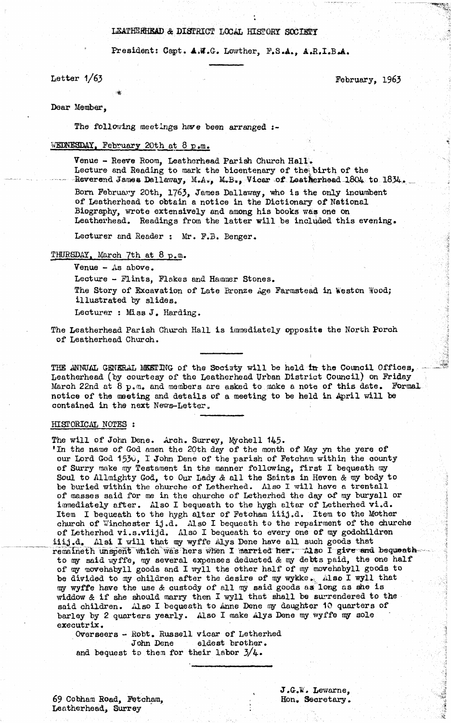# **L3ATHERHEAD** *&* **DISTRICT LOCAL HISTORY SOCIETY**

**Presidents Capt.** *AM.G-.* **Leather, F.S.A., A.R.I.B\*A.**

**Letter 1/63 February, 1963** 

**Dear Member,**

**The following meetings have been arranged**

**IVEEKEgDAX, February 20th at 8 p.m.**

**Venue - Reeve Room, Leatherhead Parish Church Hall.** Lecture and Reading to mark the bicentenary of the birth of the Reverend James Dallaway, M.A., M.B., Vicar of Leatherhead 1804 to 1834. Born February 20th, 1763, James Dallaway, who is the only incumbent **of Leatherhead to obtain a notice in the Dictionary of National Biography, wrote extensively and among his books was one on Leatherhead. Readings from the latter will be included this evening.**

**Lecturer and Reader** 1 **Mr. F.3. Benger.**

**THURSDAY. March 7th at 8 p.m.**

**Venue - As above.**

**Lecture - Flints, Flakes and Hammer Stones. The Story of Excavation of Late Bronze Age Farmstead in Weston Wood; illustrated by slides. Lecturer : Miss J. Harding.**

**The Leatherhead Parish Church Hall is immediately opposite the North Porch of Leatherhead Church.**

THE ANNUAL GENERAL MEETING of the Sociaty will be held in the Council Offices, **Leatherhead (by courtesy of the Leatherhead Urban District Council) on Friday March 22nd at 8 p.m. and members are asked to make a note of this date. Formai notice of the meeting and details of a meeting to be held in April will be** contained in the next News-Letter.

#### **HISTORICAL NOTES ;**

**The will of John Dene. Arch. Surrey, Mychell 145-**

**•In the name of God amen the 20th day of the month of May yn the yere of our Lord God 1530, I John Dene of the parish of Fetcham within the county** of Surry make my Testament in the manner following, first I bequeath my **Soul to Allmighty God, to Our Lady** *&* **all the Saints in Heven & my body to be buried within the ohurche of\* Letherhed. Also I -will have a trentall of masses said for me in the churche of Letherhed the day of my buryall or immediately after. Also I bequeath to the hygh altar of Letherhed vi.d. Item I bequeath to the hygh altar of Fetcham iiij.d. Item to the Mother church of V/inchester ij.d. Also I bequeath to the repairment of the churche of Letherhed vi.s.viijd. Also I bequeath to every one of my godchildren** iiij.d. Alsi I will that my wyffe Alys Dene have all such goods that remaineth unspent which was hers when I married her. Also I give and bequeathto my said wyffe, my several expenses deducted & my debts paid, the one half **of my movehabyll goods and I wyll the other half of my movehabyll goods to** be divided to my children after the desire of my wykke. Also I wyll that **®y wyffe have the use** *&* **custody of all my said goods as long as she is widdow & if she should marry then I wyll that shall be surrendered to the said children. Also I bequeath to Anne Dene ny daughter 10 quarters of** barley by 2 quarters yearly. Also I make Alys Dene my wyffe my sole **executrix.**

**Overseers - Robt. Russell vicar of Letherhed John Dene eldest brother, and bequest to them for their labor 3/4-•**

**69 Cohham Road, Fetcham, Leatherhead, Surrey**

**J.G.W. Lewarne, Hon. Secretary.** **College College College**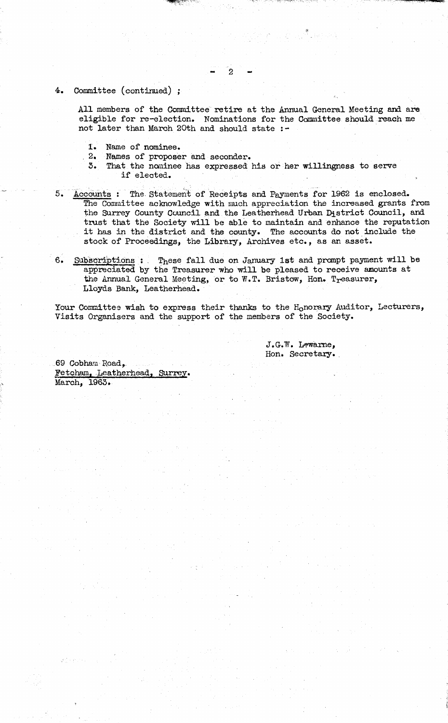# **4. Committee (continued) ;**

**All members of the Committee retire at the Annual General Meeting and are eligible for re-election. Nominations for the Committee should reach me not later than March 20th and should state :-**

- **1. Name of nominee.**
	- Names of proposer and seconder.
	- **5. That the nominee has expressed his or her willingness to serve if elected. ■ ,**
- **5. Accounts : The. Statement of Receipts and Payments for 1962 is enclosed. The Committee acknowledge with much appreciation the increased grants from the Surrey County Council and the Leatherhead Urban District Council, and trust that the Society will be able to maintain and enhance the reputation it has in the district and the county. The accounts do not include the stock of Proceedings, the Library, Archives etc., as an asset.**
- 6. Subscriptions : These fall due on January 1st and prompt payment will be appreciated by the Treasurer who will be pleased to receive amounts at **the Annual General Meeting, or to W.T. Bristow, Hon. Treasurer, Lloyds Bank, Leatherhead.**

Your Committee wish to express their thanks to the H<sub>o</sub>norary Auditor, Lecturers, **Visits Organisers and the support of the members of the Society.**

> **J.G-.W. Lewame, Hon. Secretary..**

**69 Cobhara Road, ffetcham, .Leatherhead, Surrey. March, 1963.**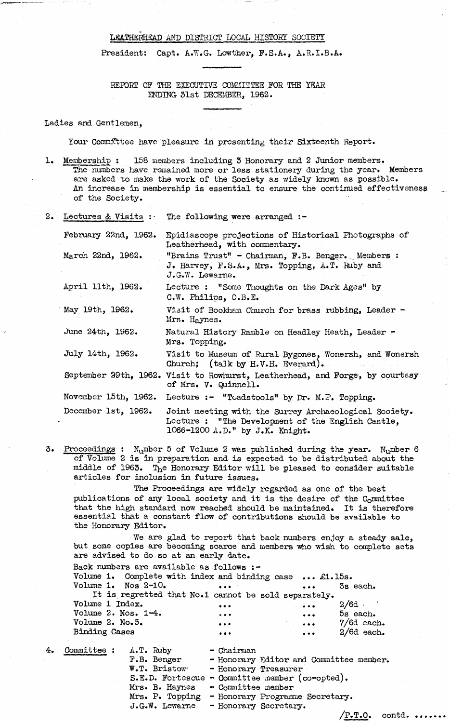## LEATHERHEAD AND DISTRICT LOCAL HISTORY SOCIETY

President: Capt. A.W.G. Lowther, F.S.A., A.R.I.B.A.

**REPORT OP THE EXECUTIVE COMMITTEE FOR THE YEAR ENDING- 51st DECEMBER, 1962.**

**Ladies and Gentlemen,**

**Your Committee have pleasure in presenting their Sixteenth Report.**

1. Membership : 158 members including 3 Honorary and 2 Junior members. **The numbers have remained more or less stationery during the year. Members** are asked to make the work of the Society as widely known as possible. **An increase in membership is essential to ensure the continued effectiveness of the Society.**

|                      | 2. Lectures & Visits : The following were arranged :-                                                                                         |  |  |  |  |
|----------------------|-----------------------------------------------------------------------------------------------------------------------------------------------|--|--|--|--|
| February 22nd, 1962. | Epidiascope projections of Historical Photographs of<br>Leatherhead, with commentary.                                                         |  |  |  |  |
| March 22nd, 1962.    | "Brains Trust" - Chairman, F.B. Benger. Members :<br>J. Harvey, F.S.A., Mrs. Topping, A.T. Ruby and<br>$J.G.W.$ Lewarne.                      |  |  |  |  |
| April 11th, 1962.    | Lecture : "Some Thoughts on the Dark Ages" by<br>C.W. Philips, O.B.E.                                                                         |  |  |  |  |
| May 19th, 1962.      | Visit of Bookham Church for brass rubbing, Leader -<br>Mrs. Haynes.                                                                           |  |  |  |  |
| June 24th, 1962.     | Natural History Ramble on Headley Heath, Leader -<br>Mrs. Topping.                                                                            |  |  |  |  |
| July 14th, 1962.     | Visit to Museum of Rural Bygones, Wonersh, and Wonersh<br>Church; (talk by H.V.H. Everard).                                                   |  |  |  |  |
|                      | September 29th, 1962. Visit to Rowhurst, Leatherhead, and Forge, by courtesy<br>of Mrs. V. Quinnell.                                          |  |  |  |  |
| November 15th, 1962. | Lecture :- "Toadstools" by Dr. M.P. Topping.                                                                                                  |  |  |  |  |
| December 1st, 1962.  | Joint meeting with the Surrey Archaeological Society.<br>Lecture : "The Development of the English Castle,<br>1066-1200 A.D." by J.K. Knight. |  |  |  |  |

**3. Proceedings : Number 5 of Volume 2 was published during the year. Number 6 of Volume 2 is in preparation and is expected to be distributed about the middle of 1963. The Honorary Editor will be pleased to consider suitable articles for inclusion in future issues.**

**The Proceedings are widely regarded as one of the best publications of any local society and it is the desire of the Committee that the high standard now reached should be maintained. It is therefore essential that a constant flow of contributions should be available to the Honorary Editor.**

**We are glad to report that back numbers enjoy a steady sale, but some copies are becoming scarce and members who wish to complete sets are advised to do so at an early date.**

| Back numbers are available as follows :-                |                                                                                                                           |                                                                                                                |                     |
|---------------------------------------------------------|---------------------------------------------------------------------------------------------------------------------------|----------------------------------------------------------------------------------------------------------------|---------------------|
| Volume 1. Complete with index and binding case  £1.15s. |                                                                                                                           |                                                                                                                |                     |
| Volume 1. Nos $2-10$ .                                  | <b><i>Committee Committee State Committee Committee State Committee Committee State Committee Committee Committee</i></b> |                                                                                                                | $\cdots$ 3s each.   |
| It is regretted that No.1 cannot be sold separately.    |                                                                                                                           |                                                                                                                |                     |
| Volume 1 Index.                                         | $\cdots$                                                                                                                  | $\cdots$ $2/6d$                                                                                                |                     |
| Volume 2. Nos. 1-4.                                     | $\sim$ $\sim$ $\sim$ $\sim$ $\sim$                                                                                        |                                                                                                                | $\cdots$ 5s each.   |
| Volume 2. No.5.                                         | $\bullet \bullet \bullet$                                                                                                 | and the case of the case of the case of the case of the case of the case of the case of the case of the case o |                     |
| Binding Cases                                           | $-0.00$                                                                                                                   |                                                                                                                | $\cdots$ 2/6d each. |
|                                                         |                                                                                                                           |                                                                                                                |                     |

**4. Committee : A.T. Ruby - Chairman**

| $\cdot$ : | A.T. Ruby      | - Chairman                                      |
|-----------|----------------|-------------------------------------------------|
|           | F.B. Benger    | - Honorary Editor and Committee member.         |
|           | W.T. Bristow   | - Honorary Treasurer                            |
|           |                | S.E.D. Fortescue - Committee member (co-opted). |
|           | Mrs. B. Haynes | - Committee member                              |
|           |                | Mrs. P. Topping - Honorary Programme Secretary. |
|           | J.G.W. Lewarne | - Honorary Secretary.                           |
|           |                | $/P•T•O•$ contd.                                |